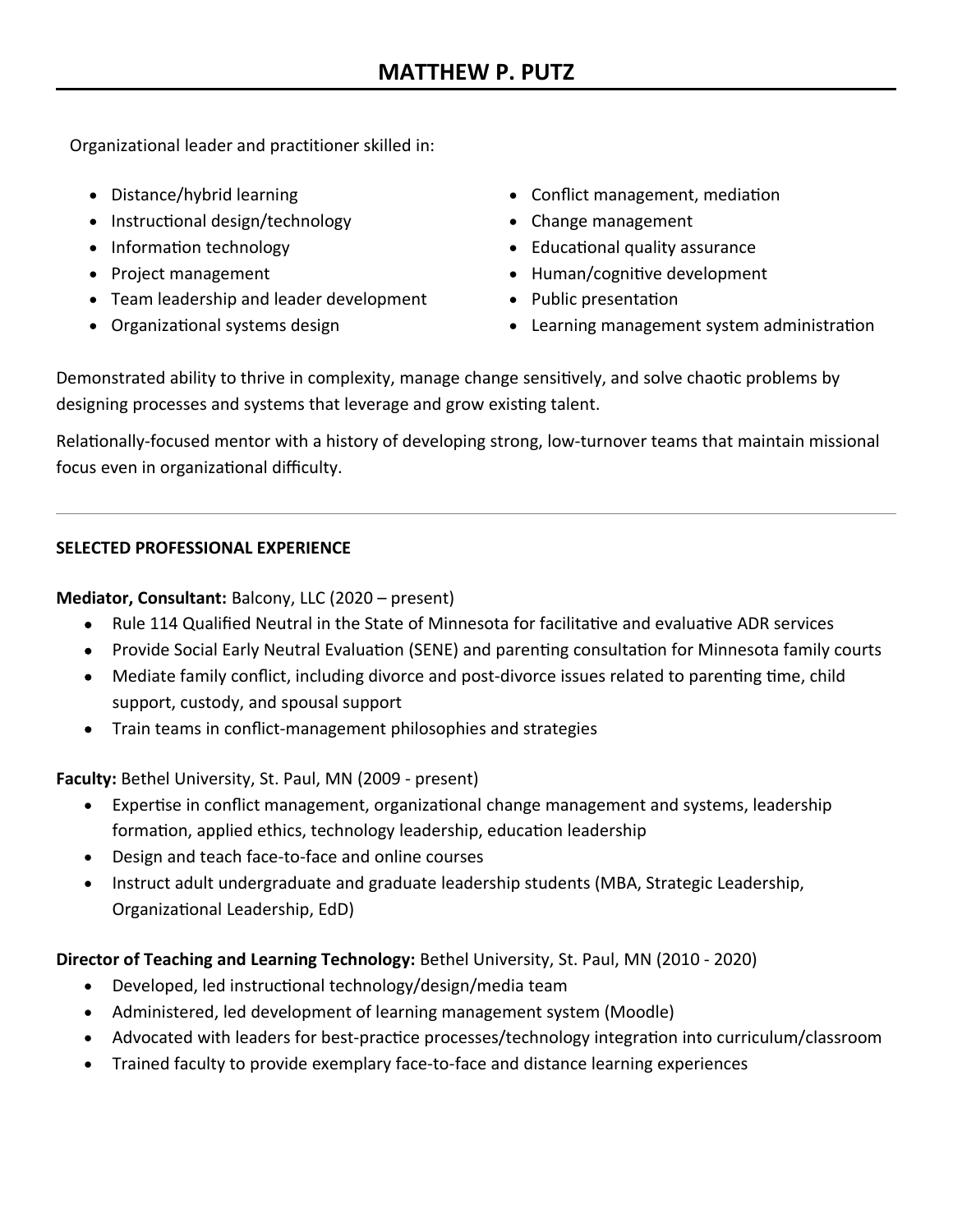Organizational leader and practitioner skilled in:

- Distance/hybrid learning
- Instructional design/technology
- Information technology
- Project management
- Team leadership and leader development
- Organizational systems design
- Conflict management, mediation
- Change management
- Educational quality assurance
- Human/cognitive development
- Public presentation
- Learning management system administration

Demonstrated ability to thrive in complexity, manage change sensitively, and solve chaotic problems by designing processes and systems that leverage and grow existing talent.

Relationally-focused mentor with a history of developing strong, low-turnover teams that maintain missional focus even in organizational difficulty.

### **SELECTED PROFESSIONAL EXPERIENCE**

**Mediator, Consultant:** Balcony, LLC (2020 – present)

- Rule 114 Qualified Neutral in the State of Minnesota for facilitative and evaluative ADR services
- Provide Social Early Neutral Evaluation (SENE) and parenting consultation for Minnesota family courts
- Mediate family conflict, including divorce and post-divorce issues related to parenting time, child support, custody, and spousal support
- Train teams in conflict-management philosophies and strategies

**Faculty:** Bethel University, St. Paul, MN (2009 - present)

- Expertise in conflict management, organizational change management and systems, leadership formation, applied ethics, technology leadership, education leadership
- Design and teach face-to-face and online courses
- Instruct adult undergraduate and graduate leadership students (MBA, Strategic Leadership, Organizational Leadership, EdD)

# **Director of Teaching and Learning Technology:** Bethel University, St. Paul, MN (2010 - 2020)

- Developed, led instructional technology/design/media team
- Administered, led development of learning management system (Moodle)
- Advocated with leaders for best-practice processes/technology integration into curriculum/classroom
- Trained faculty to provide exemplary face-to-face and distance learning experiences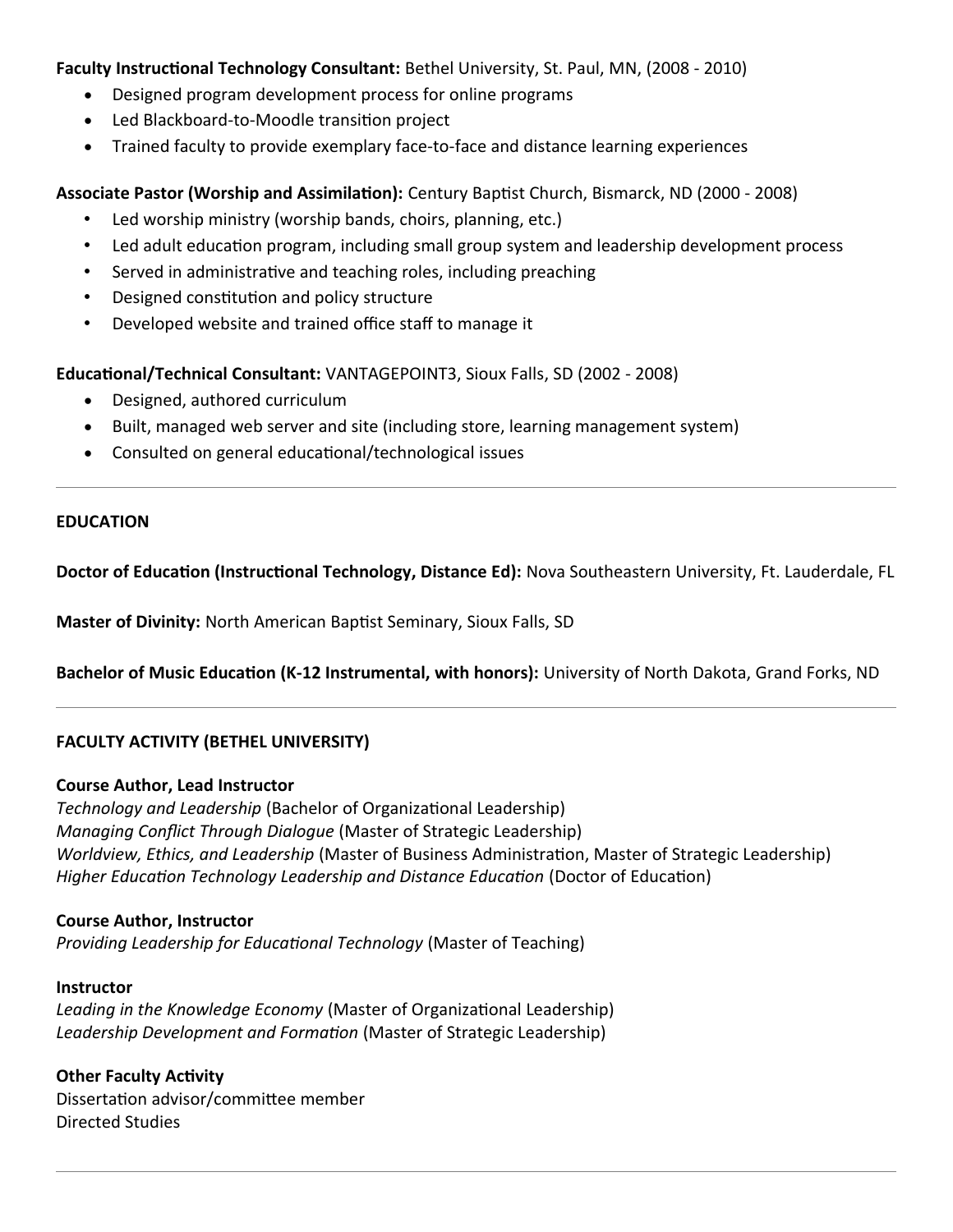#### **Faculty Instructional Technology Consultant:** Bethel University, St. Paul, MN, (2008 - 2010)

- Designed program development process for online programs
- Led Blackboard-to-Moodle transition project
- Trained faculty to provide exemplary face-to-face and distance learning experiences

## **Associate Pastor (Worship and Assimilation):** Century Baptist Church, Bismarck, ND (2000 - 2008)

- Led worship ministry (worship bands, choirs, planning, etc.)
- Led adult education program, including small group system and leadership development process
- Served in administrative and teaching roles, including preaching
- Designed constitution and policy structure
- Developed website and trained office staff to manage it

**Educational/Technical Consultant:** VANTAGEPOINT3, Sioux Falls, SD (2002 - 2008)

- Designed, authored curriculum
- Built, managed web server and site (including store, learning management system)
- Consulted on general educational/technological issues

#### **EDUCATION**

**Doctor of Education (Instructional Technology, Distance Ed):** Nova Southeastern University, Ft. Lauderdale, FL

**Master of Divinity:** North American Baptist Seminary, Sioux Falls, SD

**Bachelor of Music Education (K-12 Instrumental, with honors):** University of North Dakota, Grand Forks, ND

### **FACULTY ACTIVITY (BETHEL UNIVERSITY)**

### **Course Author, Lead Instructor**

*Technology and Leadership* (Bachelor of Organizational Leadership) *Managing Conflict Through Dialogue* (Master of Strategic Leadership) *Worldview, Ethics, and Leadership* (Master of Business Administration, Master of Strategic Leadership) *Higher Education Technology Leadership and Distance Education* (Doctor of Education)

### **Course Author, Instructor**

*Providing Leadership for Educational Technology* (Master of Teaching)

### **Instructor**

*Leading in the Knowledge Economy* (Master of Organizational Leadership) *Leadership Development and Formation* (Master of Strategic Leadership)

**Other Faculty Activity** Dissertation advisor/committee member Directed Studies